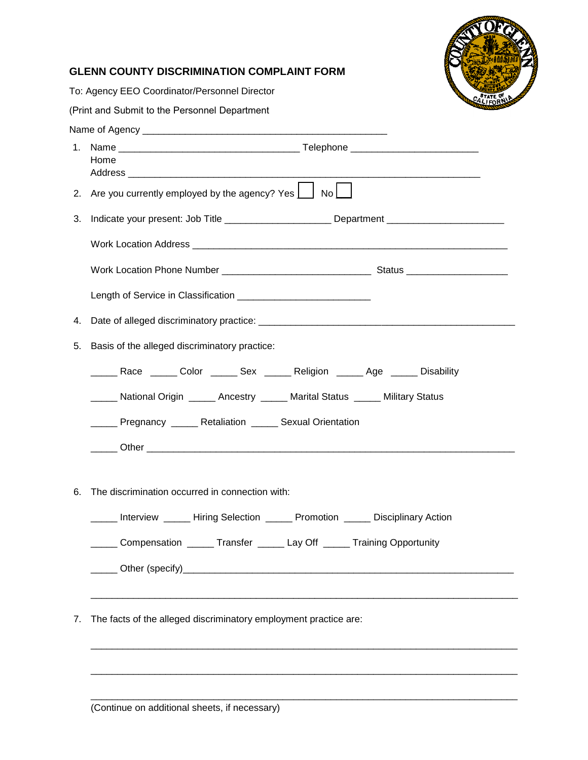

## **GLENN COUNTY DISCRIMINATION COMPLAINT FORM**

To: Agency EEO Coordinator/Personnel Director

(Print and Submit to the Personnel Department

|    | Home                                                                                                                                                                                                                                                                                                                                                                                                                                                                                                                                                                                                     |  |  |  |
|----|----------------------------------------------------------------------------------------------------------------------------------------------------------------------------------------------------------------------------------------------------------------------------------------------------------------------------------------------------------------------------------------------------------------------------------------------------------------------------------------------------------------------------------------------------------------------------------------------------------|--|--|--|
|    | 2. Are you currently employed by the agency? Yes $\Box$ No $\Box$                                                                                                                                                                                                                                                                                                                                                                                                                                                                                                                                        |  |  |  |
| 3. | Indicate your present: Job Title _______________________Department _________________________________                                                                                                                                                                                                                                                                                                                                                                                                                                                                                                     |  |  |  |
|    |                                                                                                                                                                                                                                                                                                                                                                                                                                                                                                                                                                                                          |  |  |  |
|    |                                                                                                                                                                                                                                                                                                                                                                                                                                                                                                                                                                                                          |  |  |  |
|    |                                                                                                                                                                                                                                                                                                                                                                                                                                                                                                                                                                                                          |  |  |  |
| 4. |                                                                                                                                                                                                                                                                                                                                                                                                                                                                                                                                                                                                          |  |  |  |
| 5. | Basis of the alleged discriminatory practice:                                                                                                                                                                                                                                                                                                                                                                                                                                                                                                                                                            |  |  |  |
|    | ______ Race ______ Color ______ Sex ______ Religion ______ Age ______ Disability                                                                                                                                                                                                                                                                                                                                                                                                                                                                                                                         |  |  |  |
|    | ______ National Origin ______ Ancestry ______ Marital Status ______ Military Status                                                                                                                                                                                                                                                                                                                                                                                                                                                                                                                      |  |  |  |
|    | _____ Pregnancy _____ Retaliation _____ Sexual Orientation                                                                                                                                                                                                                                                                                                                                                                                                                                                                                                                                               |  |  |  |
|    |                                                                                                                                                                                                                                                                                                                                                                                                                                                                                                                                                                                                          |  |  |  |
| 6. | The discrimination occurred in connection with:<br><b>Manufarther Millet Controller Selection Controller Controller Controller Controller Controller Controller Controller Controller Controller Controller Controller Controller Controller Controller Controller Controller Contr</b><br>Compensation _____ Transfer _____ Lay Off _____ Training Opportunity<br>Other (specify)<br><u>Character and the contracted</u> and the contract of the contract of the contract of the contract of the contracted of the contracted of the contracted of the contracted of the contracted of the contracted o |  |  |  |
| 7. | The facts of the alleged discriminatory employment practice are:                                                                                                                                                                                                                                                                                                                                                                                                                                                                                                                                         |  |  |  |

\_\_\_\_\_\_\_\_\_\_\_\_\_\_\_\_\_\_\_\_\_\_\_\_\_\_\_\_\_\_\_\_\_\_\_\_\_\_\_\_\_\_\_\_\_\_\_\_\_\_\_\_\_\_\_\_\_\_\_\_\_\_\_\_\_\_\_\_\_\_\_\_\_\_\_\_\_\_\_\_